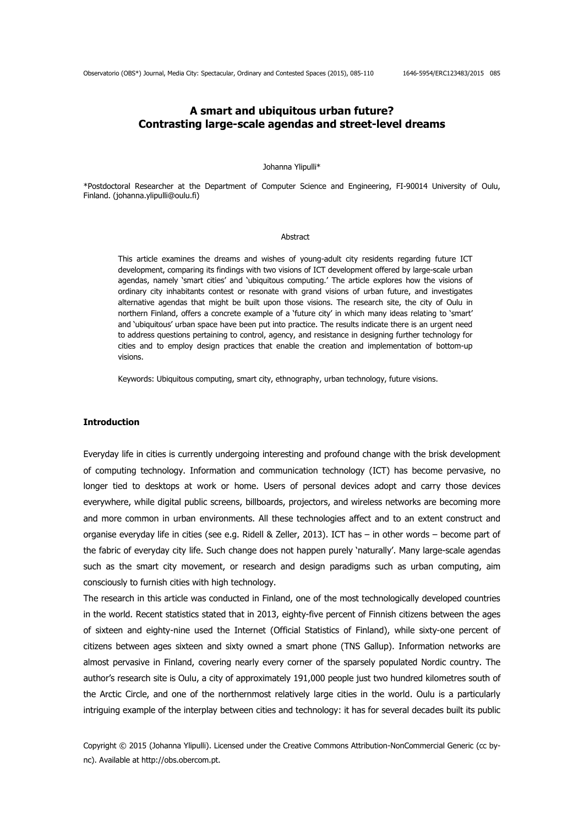# **A smart and ubiquitous urban future? Contrasting large-scale agendas and street-level dreams**

#### Johanna Ylipulli\*

\*Postdoctoral Researcher at the Department of Computer Science and Engineering, FI-90014 University of Oulu, Finland. (johanna.ylipulli@oulu.fi)

#### **Abstract**

This article examines the dreams and wishes of young-adult city residents regarding future ICT development, comparing its findings with two visions of ICT development offered by large-scale urban agendas, namely 'smart cities' and 'ubiquitous computing.' The article explores how the visions of ordinary city inhabitants contest or resonate with grand visions of urban future, and investigates alternative agendas that might be built upon those visions. The research site, the city of Oulu in northern Finland, offers a concrete example of a 'future city' in which many ideas relating to 'smart' and 'ubiquitous' urban space have been put into practice. The results indicate there is an urgent need to address questions pertaining to control, agency, and resistance in designing further technology for cities and to employ design practices that enable the creation and implementation of bottom-up visions.

Keywords: Ubiquitous computing, smart city, ethnography, urban technology, future visions.

### **Introduction**

Everyday life in cities is currently undergoing interesting and profound change with the brisk development of computing technology. Information and communication technology (ICT) has become pervasive, no longer tied to desktops at work or home. Users of personal devices adopt and carry those devices everywhere, while digital public screens, billboards, projectors, and wireless networks are becoming more and more common in urban environments. All these technologies affect and to an extent construct and organise everyday life in cities (see e.g. Ridell & Zeller, 2013). ICT has – in other words – become part of the fabric of everyday city life. Such change does not happen purely 'naturally'. Many large-scale agendas such as the smart city movement, or research and design paradigms such as urban computing, aim consciously to furnish cities with high technology.

The research in this article was conducted in Finland, one of the most technologically developed countries in the world. Recent statistics stated that in 2013, eighty-five percent of Finnish citizens between the ages of sixteen and eighty-nine used the Internet (Official Statistics of Finland), while sixty-one percent of citizens between ages sixteen and sixty owned a smart phone (TNS Gallup). Information networks are almost pervasive in Finland, covering nearly every corner of the sparsely populated Nordic country. The author's research site is Oulu, a city of approximately 191,000 people just two hundred kilometres south of the Arctic Circle, and one of the northernmost relatively large cities in the world. Oulu is a particularly intriguing example of the interplay between cities and technology: it has for several decades built its public

Copyright © 2015 (Johanna Ylipulli). Licensed under the Creative Commons Attribution-NonCommercial Generic (cc bync). Available at http://obs.obercom.pt.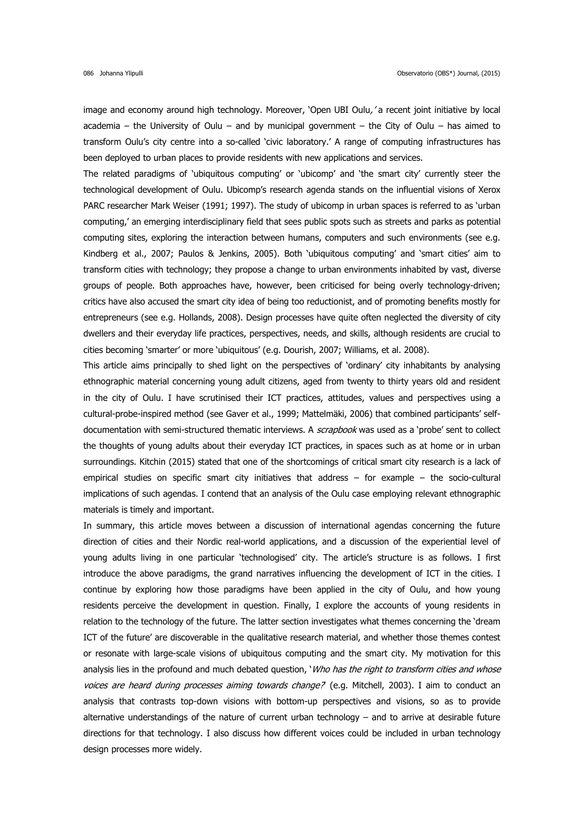image and economy around high technology. Moreover, 'Open UBI Oulu,' a recent joint initiative by local academia – the University of Oulu – and by municipal government – the City of Oulu – has aimed to transform Oulu's city centre into a so-called 'civic laboratory.' A range of computing infrastructures has been deployed to urban places to provide residents with new applications and services.

The related paradigms of 'ubiquitous computing' or 'ubicomp' and 'the smart city' currently steer the technological development of Oulu. Ubicomp's research agenda stands on the influential visions of Xerox PARC researcher Mark Weiser (1991; 1997). The study of ubicomp in urban spaces is referred to as 'urban computing,' an emerging interdisciplinary field that sees public spots such as streets and parks as potential computing sites, exploring the interaction between humans, computers and such environments (see e.g. Kindberg et al., 2007; Paulos & Jenkins, 2005). Both 'ubiquitous computing' and 'smart cities' aim to transform cities with technology; they propose a change to urban environments inhabited by vast, diverse groups of people. Both approaches have, however, been criticised for being overly technology-driven; critics have also accused the smart city idea of being too reductionist, and of promoting benefits mostly for entrepreneurs (see e.g. Hollands, 2008). Design processes have quite often neglected the diversity of city dwellers and their everyday life practices, perspectives, needs, and skills, although residents are crucial to cities becoming 'smarter' or more 'ubiquitous' (e.g. Dourish, 2007; Williams, et al. 2008).

This article aims principally to shed light on the perspectives of 'ordinary' city inhabitants by analysing ethnographic material concerning young adult citizens, aged from twenty to thirty years old and resident in the city of Oulu. I have scrutinised their ICT practices, attitudes, values and perspectives using a cultural-probe-inspired method (see Gaver et al., 1999; Mattelmäki, 2006) that combined participants' selfdocumentation with semi-structured thematic interviews. A *scrapbook* was used as a 'probe' sent to collect the thoughts of young adults about their everyday ICT practices, in spaces such as at home or in urban surroundings. Kitchin (2015) stated that one of the shortcomings of critical smart city research is a lack of empirical studies on specific smart city initiatives that address – for example – the socio-cultural implications of such agendas. I contend that an analysis of the Oulu case employing relevant ethnographic materials is timely and important.

In summary, this article moves between a discussion of international agendas concerning the future direction of cities and their Nordic real-world applications, and a discussion of the experiential level of young adults living in one particular 'technologised' city. The article's structure is as follows. I first introduce the above paradigms, the grand narratives influencing the development of ICT in the cities. I continue by exploring how those paradigms have been applied in the city of Oulu, and how young residents perceive the development in question. Finally, I explore the accounts of young residents in relation to the technology of the future. The latter section investigates what themes concerning the 'dream ICT of the future' are discoverable in the qualitative research material, and whether those themes contest or resonate with large-scale visions of ubiquitous computing and the smart city. My motivation for this analysis lies in the profound and much debated question, 'Who has the right to transform cities and whose voices are heard during processes aiming towards change? (e.g. Mitchell, 2003). I aim to conduct an analysis that contrasts top-down visions with bottom-up perspectives and visions, so as to provide alternative understandings of the nature of current urban technology – and to arrive at desirable future directions for that technology. I also discuss how different voices could be included in urban technology design processes more widely.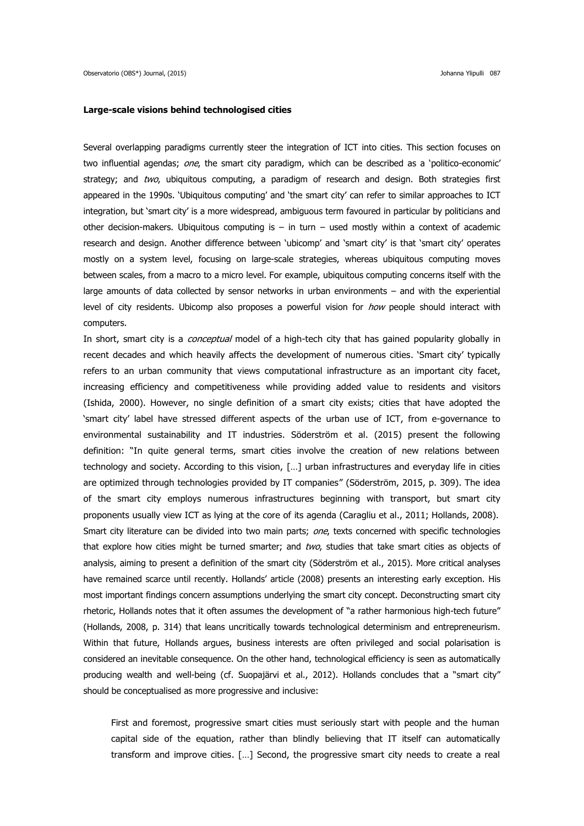#### **Large-scale visions behind technologised cities**

Several overlapping paradigms currently steer the integration of ICT into cities. This section focuses on two influential agendas; one, the smart city paradigm, which can be described as a 'politico-economic' strategy; and two, ubiquitous computing, a paradigm of research and design. Both strategies first appeared in the 1990s. 'Ubiquitous computing' and 'the smart city' can refer to similar approaches to ICT integration, but 'smart city' is a more widespread, ambiguous term favoured in particular by politicians and other decision-makers. Ubiquitous computing is  $-$  in turn  $-$  used mostly within a context of academic research and design. Another difference between 'ubicomp' and 'smart city' is that 'smart city' operates mostly on a system level, focusing on large-scale strategies, whereas ubiquitous computing moves between scales, from a macro to a micro level. For example, ubiquitous computing concerns itself with the large amounts of data collected by sensor networks in urban environments – and with the experiential level of city residents. Ubicomp also proposes a powerful vision for *how* people should interact with computers.

In short, smart city is a *conceptual* model of a high-tech city that has gained popularity globally in recent decades and which heavily affects the development of numerous cities. 'Smart city' typically refers to an urban community that views computational infrastructure as an important city facet, increasing efficiency and competitiveness while providing added value to residents and visitors (Ishida, 2000). However, no single definition of a smart city exists; cities that have adopted the 'smart city' label have stressed different aspects of the urban use of ICT, from e-governance to environmental sustainability and IT industries. Söderström et al. (2015) present the following definition: "In quite general terms, smart cities involve the creation of new relations between technology and society. According to this vision, […] urban infrastructures and everyday life in cities are optimized through technologies provided by IT companies" (Söderström, 2015, p. 309). The idea of the smart city employs numerous infrastructures beginning with transport, but smart city proponents usually view ICT as lying at the core of its agenda (Caragliu et al., 2011; Hollands, 2008). Smart city literature can be divided into two main parts; one, texts concerned with specific technologies that explore how cities might be turned smarter; and two, studies that take smart cities as objects of analysis, aiming to present a definition of the smart city (Söderström et al., 2015). More critical analyses have remained scarce until recently. Hollands' article (2008) presents an interesting early exception. His most important findings concern assumptions underlying the smart city concept. Deconstructing smart city rhetoric, Hollands notes that it often assumes the development of "a rather harmonious high-tech future" (Hollands, 2008, p. 314) that leans uncritically towards technological determinism and entrepreneurism. Within that future, Hollands argues, business interests are often privileged and social polarisation is considered an inevitable consequence. On the other hand, technological efficiency is seen as automatically producing wealth and well-being (cf. Suopajärvi et al., 2012). Hollands concludes that a "smart city" should be conceptualised as more progressive and inclusive:

First and foremost, progressive smart cities must seriously start with people and the human capital side of the equation, rather than blindly believing that IT itself can automatically transform and improve cities. […] Second, the progressive smart city needs to create a real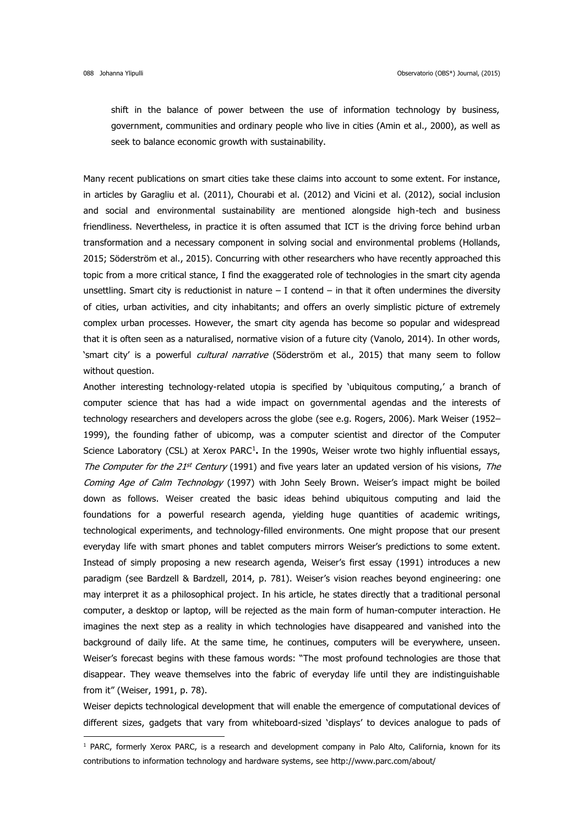**.** 

shift in the balance of power between the use of information technology by business, government, communities and ordinary people who live in cities (Amin et al., 2000), as well as seek to balance economic growth with sustainability.

Many recent publications on smart cities take these claims into account to some extent. For instance, in articles by Garagliu et al. (2011), Chourabi et al. (2012) and Vicini et al. (2012), social inclusion and social and environmental sustainability are mentioned alongside high-tech and business friendliness. Nevertheless, in practice it is often assumed that ICT is the driving force behind urban transformation and a necessary component in solving social and environmental problems (Hollands, 2015; Söderström et al., 2015). Concurring with other researchers who have recently approached this topic from a more critical stance, I find the exaggerated role of technologies in the smart city agenda unsettling. Smart city is reductionist in nature  $-1$  contend  $-$  in that it often undermines the diversity of cities, urban activities, and city inhabitants; and offers an overly simplistic picture of extremely complex urban processes. However, the smart city agenda has become so popular and widespread that it is often seen as a naturalised, normative vision of a future city (Vanolo, 2014). In other words, 'smart city' is a powerful *cultural narrative* (Söderström et al., 2015) that many seem to follow without question.

Another interesting technology-related utopia is specified by 'ubiquitous computing,' a branch of computer science that has had a wide impact on governmental agendas and the interests of technology researchers and developers across the globe (see e.g. Rogers, 2006). Mark Weiser (1952– 1999), the founding father of ubicomp, was a computer scientist and director of the Computer Science Laboratory (CSL) at Xerox PARC<sup>1</sup>. In the 1990s, Weiser wrote two highly influential essays, The Computer for the 21st Century (1991) and five years later an updated version of his visions, The Coming Age of Calm Technology (1997) with John Seely Brown. Weiser's impact might be boiled down as follows. Weiser created the basic ideas behind ubiquitous computing and laid the foundations for a powerful research agenda, yielding huge quantities of academic writings, technological experiments, and technology-filled environments. One might propose that our present everyday life with smart phones and tablet computers mirrors Weiser's predictions to some extent. Instead of simply proposing a new research agenda, Weiser's first essay (1991) introduces a new paradigm (see Bardzell & Bardzell, 2014, p. 781). Weiser's vision reaches beyond engineering: one may interpret it as a philosophical project. In his article, he states directly that a traditional personal computer, a desktop or laptop, will be rejected as the main form of human-computer interaction. He imagines the next step as a reality in which technologies have disappeared and vanished into the background of daily life. At the same time, he continues, computers will be everywhere, unseen. Weiser's forecast begins with these famous words: "The most profound technologies are those that disappear. They weave themselves into the fabric of everyday life until they are indistinguishable from it" (Weiser, 1991, p. 78).

Weiser depicts technological development that will enable the emergence of computational devices of different sizes, gadgets that vary from whiteboard-sized 'displays' to devices analogue to pads of

 $1$  PARC, formerly Xerox PARC, is a research and development company in Palo Alto, California, known for its contributions to information technology and hardware systems, see <http://www.parc.com/about/>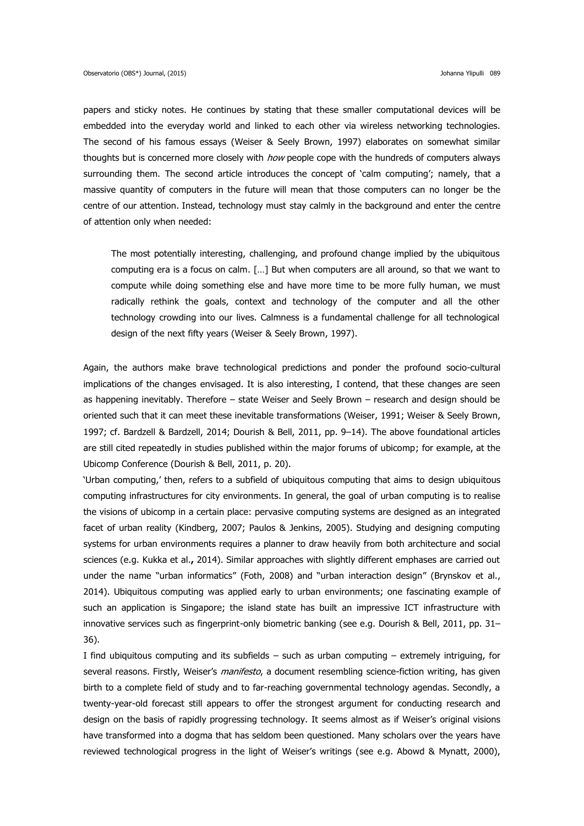papers and sticky notes. He continues by stating that these smaller computational devices will be embedded into the everyday world and linked to each other via wireless networking technologies. The second of his famous essays (Weiser & Seely Brown, 1997) elaborates on somewhat similar thoughts but is concerned more closely with *how* people cope with the hundreds of computers always surrounding them. The second article introduces the concept of 'calm computing'; namely, that a massive quantity of computers in the future will mean that those computers can no longer be the centre of our attention. Instead, technology must stay calmly in the background and enter the centre of attention only when needed:

The most potentially interesting, challenging, and profound change implied by the ubiquitous computing era is a focus on calm. […] But when computers are all around, so that we want to compute while doing something else and have more time to be more fully human, we must radically rethink the goals, context and technology of the computer and all the other technology crowding into our lives. Calmness is a fundamental challenge for all technological design of the next fifty years (Weiser & Seely Brown, 1997).

Again, the authors make brave technological predictions and ponder the profound socio-cultural implications of the changes envisaged. It is also interesting, I contend, that these changes are seen as happening inevitably. Therefore – state Weiser and Seely Brown – research and design should be oriented such that it can meet these inevitable transformations (Weiser, 1991; Weiser & Seely Brown, 1997; cf. Bardzell & Bardzell, 2014; Dourish & Bell, 2011, pp. 9–14). The above foundational articles are still cited repeatedly in studies published within the major forums of ubicomp; for example, at the Ubicomp Conference (Dourish & Bell, 2011, p. 20).

'Urban computing,' then, refers to a subfield of ubiquitous computing that aims to design ubiquitous computing infrastructures for city environments. In general, the goal of urban computing is to realise the visions of ubicomp in a certain place: pervasive computing systems are designed as an integrated facet of urban reality (Kindberg, 2007; Paulos & Jenkins, 2005). Studying and designing computing systems for urban environments requires a planner to draw heavily from both architecture and social sciences (e.g. Kukka et al.**,** 2014). Similar approaches with slightly different emphases are carried out under the name "urban informatics" (Foth, 2008) and "urban interaction design" (Brynskov et al., 2014). Ubiquitous computing was applied early to urban environments; one fascinating example of such an application is Singapore; the island state has built an impressive ICT infrastructure with innovative services such as fingerprint-only biometric banking (see e.g. Dourish & Bell, 2011, pp. 31– 36).

I find ubiquitous computing and its subfields – such as urban computing – extremely intriguing, for several reasons. Firstly, Weiser's *manifesto*, a document resembling science-fiction writing, has given birth to a complete field of study and to far-reaching governmental technology agendas. Secondly, a twenty-year-old forecast still appears to offer the strongest argument for conducting research and design on the basis of rapidly progressing technology. It seems almost as if Weiser's original visions have transformed into a dogma that has seldom been questioned. Many scholars over the years have reviewed technological progress in the light of Weiser's writings (see e.g. Abowd & Mynatt, 2000),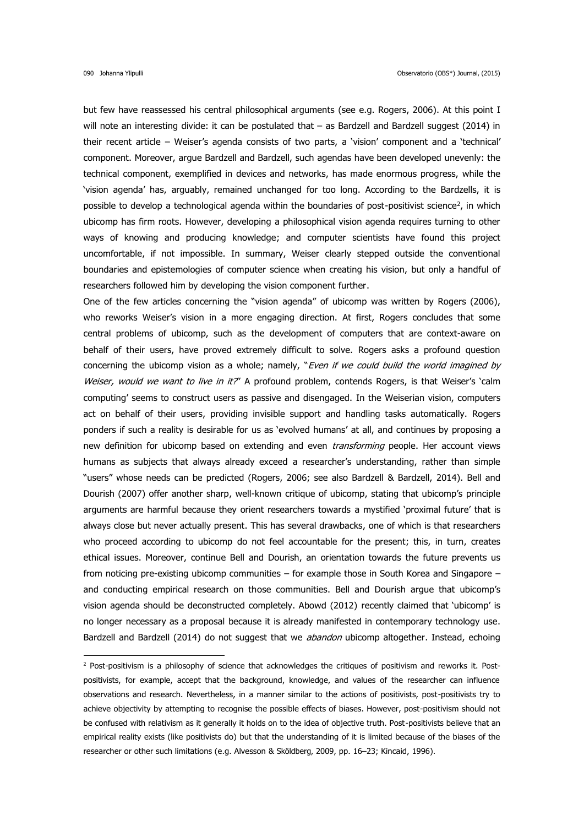**.** 

but few have reassessed his central philosophical arguments (see e.g. Rogers, 2006). At this point I will note an interesting divide: it can be postulated that – as Bardzell and Bardzell suggest (2014) in their recent article – Weiser's agenda consists of two parts, a 'vision' component and a 'technical' component. Moreover, argue Bardzell and Bardzell, such agendas have been developed unevenly: the technical component, exemplified in devices and networks, has made enormous progress, while the 'vision agenda' has, arguably, remained unchanged for too long. According to the Bardzells, it is possible to develop a technological agenda within the boundaries of post-positivist science<sup>2</sup>, in which ubicomp has firm roots. However, developing a philosophical vision agenda requires turning to other ways of knowing and producing knowledge; and computer scientists have found this project uncomfortable, if not impossible. In summary, Weiser clearly stepped outside the conventional boundaries and epistemologies of computer science when creating his vision, but only a handful of researchers followed him by developing the vision component further.

One of the few articles concerning the "vision agenda" of ubicomp was written by Rogers (2006), who reworks Weiser's vision in a more engaging direction. At first, Rogers concludes that some central problems of ubicomp, such as the development of computers that are context-aware on behalf of their users, have proved extremely difficult to solve. Rogers asks a profound question concerning the ubicomp vision as a whole; namely, "*Even if we could build the world imagined by* Weiser, would we want to live in it?" A profound problem, contends Rogers, is that Weiser's 'calm computing' seems to construct users as passive and disengaged. In the Weiserian vision, computers act on behalf of their users, providing invisible support and handling tasks automatically. Rogers ponders if such a reality is desirable for us as 'evolved humans' at all, and continues by proposing a new definition for ubicomp based on extending and even *transforming* people. Her account views humans as subjects that always already exceed a researcher's understanding, rather than simple "users" whose needs can be predicted (Rogers, 2006; see also Bardzell & Bardzell, 2014). Bell and Dourish (2007) offer another sharp, well-known critique of ubicomp, stating that ubicomp's principle arguments are harmful because they orient researchers towards a mystified 'proximal future' that is always close but never actually present. This has several drawbacks, one of which is that researchers who proceed according to ubicomp do not feel accountable for the present; this, in turn, creates ethical issues. Moreover, continue Bell and Dourish, an orientation towards the future prevents us from noticing pre-existing ubicomp communities – for example those in South Korea and Singapore – and conducting empirical research on those communities. Bell and Dourish argue that ubicomp's vision agenda should be deconstructed completely. Abowd (2012) recently claimed that 'ubicomp' is no longer necessary as a proposal because it is already manifested in contemporary technology use. Bardzell and Bardzell (2014) do not suggest that we *abandon* ubicomp altogether. Instead, echoing

 $2$  Post-positivism is a philosophy of science that acknowledges the critiques of positivism and reworks it. Postpositivists, for example, accept that the background, knowledge, and values of the researcher can influence observations and research. Nevertheless, in a manner similar to the actions of positivists, post-positivists try to achieve objectivity by attempting to recognise the possible effects of biases. However, post-positivism should not be confused with relativism as it generally it holds on to the idea of objective truth. Post-positivists believe that an empirical reality exists (like positivists do) but that the understanding of it is limited because of the biases of the researcher or other such limitations (e.g. Alvesson & Sköldberg, 2009, pp. 16–23; Kincaid, 1996).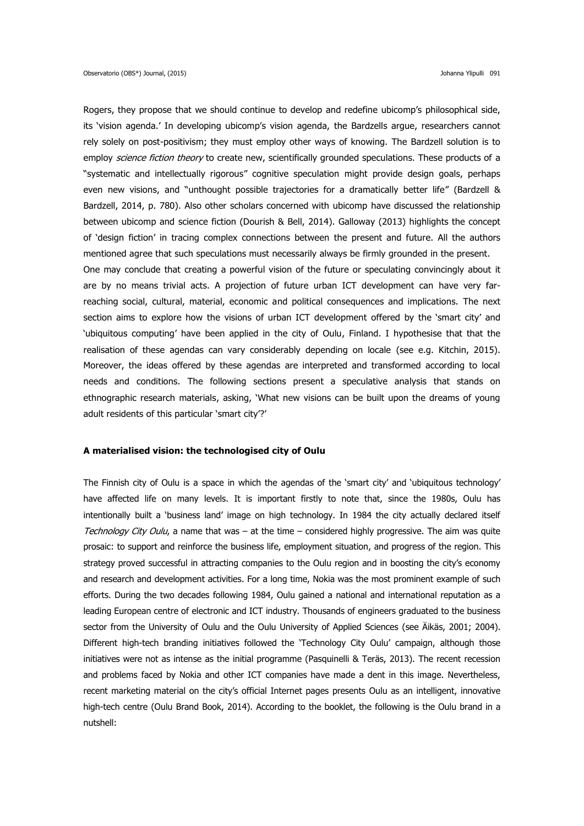Rogers, they propose that we should continue to develop and redefine ubicomp's philosophical side, its 'vision agenda.' In developing ubicomp's vision agenda, the Bardzells argue, researchers cannot rely solely on post-positivism; they must employ other ways of knowing. The Bardzell solution is to employ science fiction theory to create new, scientifically grounded speculations. These products of a "systematic and intellectually rigorous" cognitive speculation might provide design goals, perhaps even new visions, and "unthought possible trajectories for a dramatically better life" (Bardzell & Bardzell, 2014, p. 780). Also other scholars concerned with ubicomp have discussed the relationship between ubicomp and science fiction (Dourish & Bell, 2014). Galloway (2013) highlights the concept of 'design fiction' in tracing complex connections between the present and future. All the authors mentioned agree that such speculations must necessarily always be firmly grounded in the present. One may conclude that creating a powerful vision of the future or speculating convincingly about it are by no means trivial acts. A projection of future urban ICT development can have very farreaching social, cultural, material, economic and political consequences and implications. The next section aims to explore how the visions of urban ICT development offered by the 'smart city' and 'ubiquitous computing' have been applied in the city of Oulu, Finland. I hypothesise that that the realisation of these agendas can vary considerably depending on locale (see e.g. Kitchin, 2015). Moreover, the ideas offered by these agendas are interpreted and transformed according to local needs and conditions. The following sections present a speculative analysis that stands on ethnographic research materials, asking, 'What new visions can be built upon the dreams of young adult residents of this particular 'smart city'?'

### **A materialised vision: the technologised city of Oulu**

The Finnish city of Oulu is a space in which the agendas of the 'smart city' and 'ubiquitous technology' have affected life on many levels. It is important firstly to note that, since the 1980s, Oulu has intentionally built a 'business land' image on high technology. In 1984 the city actually declared itself Technology City Oulu, a name that was – at the time – considered highly progressive. The aim was quite prosaic: to support and reinforce the business life, employment situation, and progress of the region. This strategy proved successful in attracting companies to the Oulu region and in boosting the city's economy and research and development activities. For a long time, Nokia was the most prominent example of such efforts. During the two decades following 1984, Oulu gained a national and international reputation as a leading European centre of electronic and ICT industry. Thousands of engineers graduated to the business sector from the University of Oulu and the Oulu University of Applied Sciences (see Äikäs, 2001; 2004). Different high-tech branding initiatives followed the 'Technology City Oulu' campaign, although those initiatives were not as intense as the initial programme (Pasquinelli & Teräs, 2013). The recent recession and problems faced by Nokia and other ICT companies have made a dent in this image. Nevertheless, recent marketing material on the city's official Internet pages presents Oulu as an intelligent, innovative high-tech centre (Oulu Brand Book, 2014). According to the booklet, the following is the Oulu brand in a nutshell: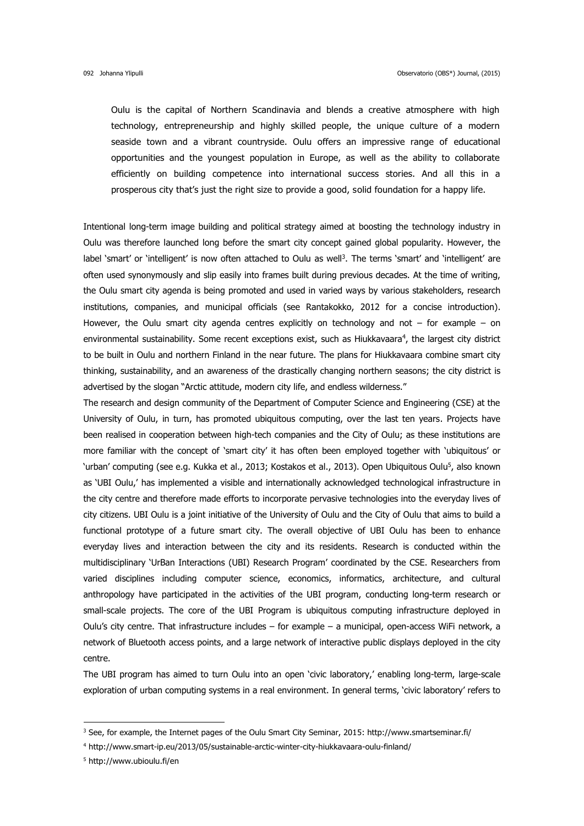Oulu is the capital of Northern Scandinavia and blends a creative atmosphere with high technology, entrepreneurship and highly skilled people, the unique culture of a modern seaside town and a vibrant countryside. Oulu offers an impressive range of educational opportunities and the youngest population in Europe, as well as the ability to collaborate efficiently on building competence into international success stories. And all this in a prosperous city that's just the right size to provide a good, solid foundation for a happy life.

Intentional long-term image building and political strategy aimed at boosting the technology industry in Oulu was therefore launched long before the smart city concept gained global popularity. However, the label 'smart' or 'intelligent' is now often attached to Oulu as well<sup>3</sup>. The terms 'smart' and 'intelligent' are often used synonymously and slip easily into frames built during previous decades. At the time of writing, the Oulu smart city agenda is being promoted and used in varied ways by various stakeholders, research institutions, companies, and municipal officials (see Rantakokko, 2012 for a concise introduction). However, the Oulu smart city agenda centres explicitly on technology and not  $-$  for example  $-$  on environmental sustainability. Some recent exceptions exist, such as Hiukkavaara<sup>4</sup>, the largest city district to be built in Oulu and northern Finland in the near future. The plans for Hiukkavaara combine smart city thinking, sustainability, and an awareness of the drastically changing northern seasons; the city district is advertised by the slogan "Arctic attitude, modern city life, and endless wilderness."

The research and design community of the Department of Computer Science and Engineering (CSE) at the University of Oulu, in turn, has promoted ubiquitous computing, over the last ten years. Projects have been realised in cooperation between high-tech companies and the City of Oulu; as these institutions are more familiar with the concept of 'smart city' it has often been employed together with 'ubiquitous' or 'urban' computing (see e.g. Kukka et al., 2013; Kostakos et al., 2013). Open Ubiquitous Oulu<sup>5</sup>, also known as 'UBI Oulu,' has implemented a visible and internationally acknowledged technological infrastructure in the city centre and therefore made efforts to incorporate pervasive technologies into the everyday lives of city citizens. UBI Oulu is a joint initiative of the University of Oulu and the City of Oulu that aims to build a functional prototype of a future smart city. The overall objective of UBI Oulu has been to enhance everyday lives and interaction between the city and its residents. Research is conducted within the multidisciplinary 'UrBan Interactions (UBI) Research Program' coordinated by the CSE. Researchers from varied disciplines including computer science, economics, informatics, architecture, and cultural anthropology have participated in the activities of the UBI program, conducting long-term research or small-scale projects. The core of the UBI Program is ubiquitous computing infrastructure deployed in Oulu's city centre. That infrastructure includes – for example – a municipal, open-access WiFi network, a network of Bluetooth access points, and a large network of interactive public displays deployed in the city centre.

The UBI program has aimed to turn Oulu into an open 'civic laboratory,' enabling long-term, large-scale exploration of urban computing systems in a real environment. In general terms, 'civic laboratory' refers to

1

 $3$  See, for example, the Internet pages of the Oulu Smart City Seminar, 2015:<http://www.smartseminar.fi/>

<sup>4</sup> <http://www.smart-ip.eu/2013/05/sustainable-arctic-winter-city-hiukkavaara-oulu-finland/>

<sup>5</sup> <http://www.ubioulu.fi/en>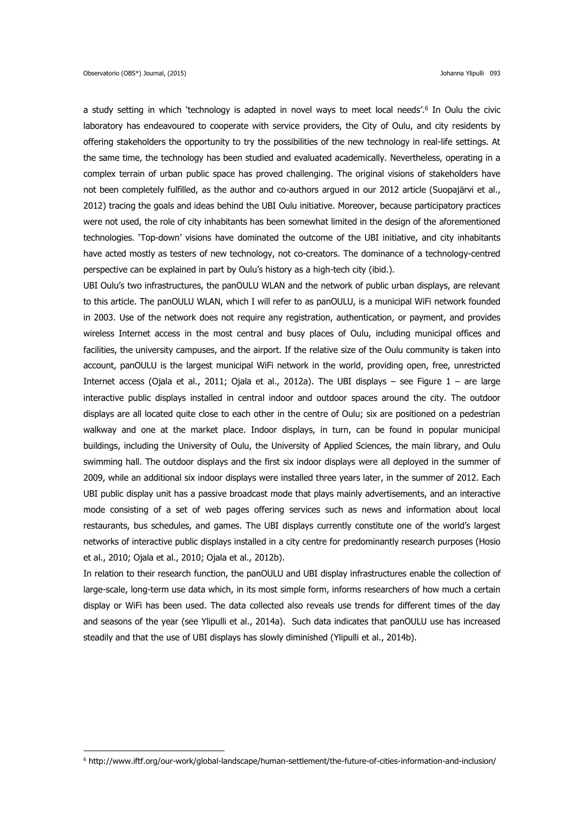**.** 

a study setting in which 'technology is adapted in novel ways to meet local needs'.<sup>6</sup> In Oulu the civic laboratory has endeavoured to cooperate with service providers, the City of Oulu, and city residents by offering stakeholders the opportunity to try the possibilities of the new technology in real-life settings. At the same time, the technology has been studied and evaluated academically. Nevertheless, operating in a complex terrain of urban public space has proved challenging. The original visions of stakeholders have not been completely fulfilled, as the author and co-authors argued in our 2012 article (Suopajärvi et al., 2012) tracing the goals and ideas behind the UBI Oulu initiative. Moreover, because participatory practices were not used, the role of city inhabitants has been somewhat limited in the design of the aforementioned technologies. 'Top-down' visions have dominated the outcome of the UBI initiative, and city inhabitants have acted mostly as testers of new technology, not co-creators. The dominance of a technology-centred perspective can be explained in part by Oulu's history as a high-tech city (ibid.).

UBI Oulu's two infrastructures, the panOULU WLAN and the network of public urban displays, are relevant to this article. The panOULU WLAN, which I will refer to as panOULU, is a municipal WiFi network founded in 2003. Use of the network does not require any registration, authentication, or payment, and provides wireless Internet access in the most central and busy places of Oulu, including municipal offices and facilities, the university campuses, and the airport. If the relative size of the Oulu community is taken into account, panOULU is the largest municipal WiFi network in the world, providing open, free, unrestricted Internet access (Ojala et al., 2011; Ojala et al., 2012a). The UBI displays – see Figure 1 – are large interactive public displays installed in central indoor and outdoor spaces around the city. The outdoor displays are all located quite close to each other in the centre of Oulu; six are positioned on a pedestrian walkway and one at the market place. Indoor displays, in turn, can be found in popular municipal buildings, including the University of Oulu, the University of Applied Sciences, the main library, and Oulu swimming hall. The outdoor displays and the first six indoor displays were all deployed in the summer of 2009, while an additional six indoor displays were installed three years later, in the summer of 2012. Each UBI public display unit has a passive broadcast mode that plays mainly advertisements, and an interactive mode consisting of a set of web pages offering services such as news and information about local restaurants, bus schedules, and games. The UBI displays currently constitute one of the world's largest networks of interactive public displays installed in a city centre for predominantly research purposes (Hosio et al., 2010; Ojala et al., 2010; Ojala et al., 2012b).

In relation to their research function, the panOULU and UBI display infrastructures enable the collection of large-scale, long-term use data which, in its most simple form, informs researchers of how much a certain display or WiFi has been used. The data collected also reveals use trends for different times of the day and seasons of the year (see Ylipulli et al., 2014a). Such data indicates that panOULU use has increased steadily and that the use of UBI displays has slowly diminished (Ylipulli et al., 2014b).

<sup>6</sup> <http://www.iftf.org/our-work/global-landscape/human-settlement/the-future-of-cities-information-and-inclusion/>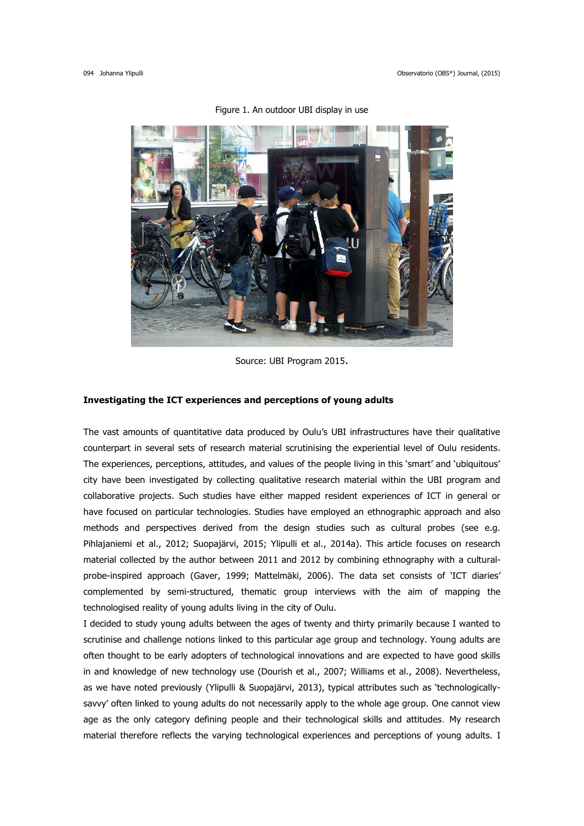

Figure 1. An outdoor UBI display in use

Source: UBI Program 2015.

### **Investigating the ICT experiences and perceptions of young adults**

The vast amounts of quantitative data produced by Oulu's UBI infrastructures have their qualitative counterpart in several sets of research material scrutinising the experiential level of Oulu residents. The experiences, perceptions, attitudes, and values of the people living in this 'smart' and 'ubiquitous' city have been investigated by collecting qualitative research material within the UBI program and collaborative projects. Such studies have either mapped resident experiences of ICT in general or have focused on particular technologies. Studies have employed an ethnographic approach and also methods and perspectives derived from the design studies such as cultural probes (see e.g. Pihlajaniemi et al., 2012; Suopajärvi, 2015; Ylipulli et al., 2014a). This article focuses on research material collected by the author between 2011 and 2012 by combining ethnography with a culturalprobe-inspired approach (Gaver, 1999; Mattelmäki, 2006). The data set consists of 'ICT diaries' complemented by semi-structured, thematic group interviews with the aim of mapping the technologised reality of young adults living in the city of Oulu.

I decided to study young adults between the ages of twenty and thirty primarily because I wanted to scrutinise and challenge notions linked to this particular age group and technology. Young adults are often thought to be early adopters of technological innovations and are expected to have good skills in and knowledge of new technology use (Dourish et al., 2007; Williams et al., 2008). Nevertheless, as we have noted previously (Ylipulli & Suopajärvi, 2013), typical attributes such as 'technologicallysavvy' often linked to young adults do not necessarily apply to the whole age group. One cannot view age as the only category defining people and their technological skills and attitudes. My research material therefore reflects the varying technological experiences and perceptions of young adults. I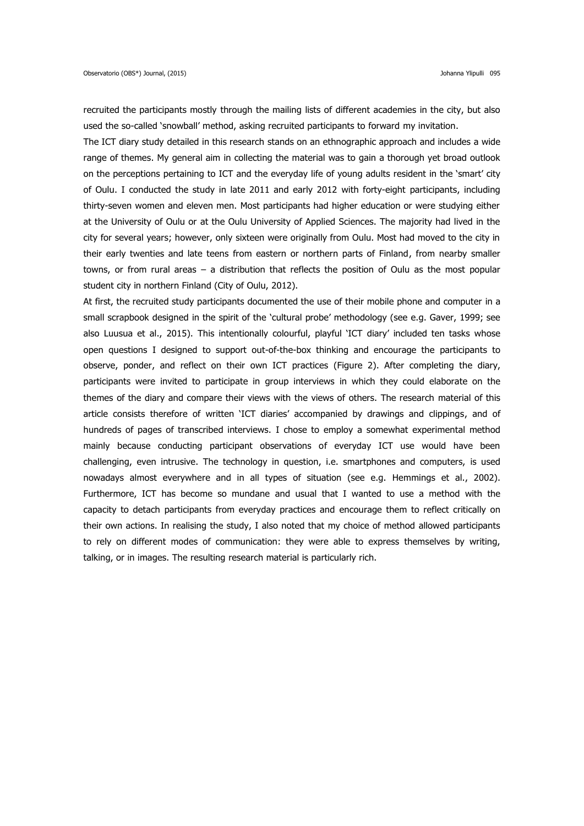recruited the participants mostly through the mailing lists of different academies in the city, but also used the so-called 'snowball' method, asking recruited participants to forward my invitation.

The ICT diary study detailed in this research stands on an ethnographic approach and includes a wide range of themes. My general aim in collecting the material was to gain a thorough yet broad outlook on the perceptions pertaining to ICT and the everyday life of young adults resident in the 'smart' city of Oulu. I conducted the study in late 2011 and early 2012 with forty-eight participants, including thirty-seven women and eleven men. Most participants had higher education or were studying either at the University of Oulu or at the Oulu University of Applied Sciences. The majority had lived in the city for several years; however, only sixteen were originally from Oulu. Most had moved to the city in their early twenties and late teens from eastern or northern parts of Finland, from nearby smaller towns, or from rural areas – a distribution that reflects the position of Oulu as the most popular student city in northern Finland (City of Oulu, 2012).

At first, the recruited study participants documented the use of their mobile phone and computer in a small scrapbook designed in the spirit of the 'cultural probe' methodology (see e.g. Gaver, 1999; see also Luusua et al., 2015). This intentionally colourful, playful 'ICT diary' included ten tasks whose open questions I designed to support out-of-the-box thinking and encourage the participants to observe, ponder, and reflect on their own ICT practices (Figure 2). After completing the diary, participants were invited to participate in group interviews in which they could elaborate on the themes of the diary and compare their views with the views of others. The research material of this article consists therefore of written 'ICT diaries' accompanied by drawings and clippings, and of hundreds of pages of transcribed interviews. I chose to employ a somewhat experimental method mainly because conducting participant observations of everyday ICT use would have been challenging, even intrusive. The technology in question, i.e. smartphones and computers, is used nowadays almost everywhere and in all types of situation (see e.g. Hemmings et al., 2002). Furthermore, ICT has become so mundane and usual that I wanted to use a method with the capacity to detach participants from everyday practices and encourage them to reflect critically on their own actions. In realising the study, I also noted that my choice of method allowed participants to rely on different modes of communication: they were able to express themselves by writing, talking, or in images. The resulting research material is particularly rich.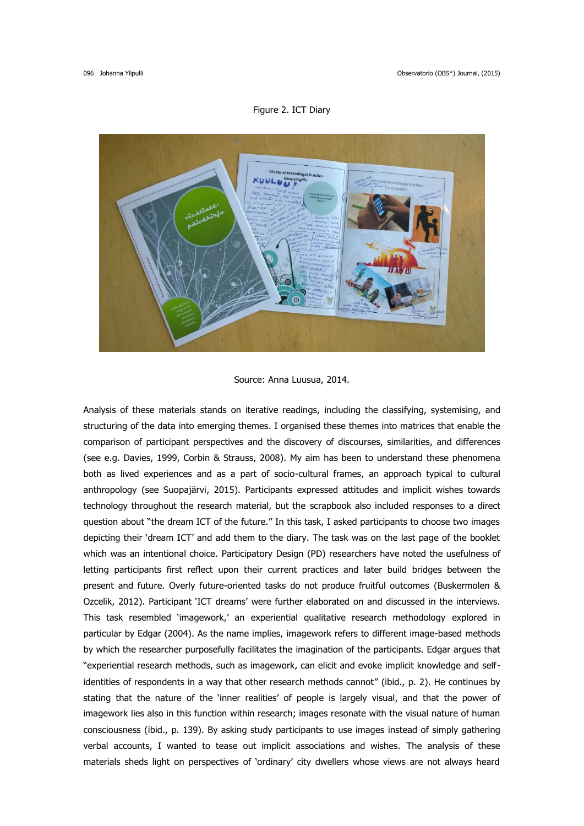#### Figure 2. ICT Diary



### Source: Anna Luusua, 2014.

Analysis of these materials stands on iterative readings, including the classifying, systemising, and structuring of the data into emerging themes. I organised these themes into matrices that enable the comparison of participant perspectives and the discovery of discourses, similarities, and differences (see e.g. Davies, 1999, Corbin & Strauss, 2008). My aim has been to understand these phenomena both as lived experiences and as a part of socio-cultural frames, an approach typical to cultural anthropology (see Suopajärvi, 2015). Participants expressed attitudes and implicit wishes towards technology throughout the research material, but the scrapbook also included responses to a direct question about "the dream ICT of the future." In this task, I asked participants to choose two images depicting their 'dream ICT' and add them to the diary. The task was on the last page of the booklet which was an intentional choice. Participatory Design (PD) researchers have noted the usefulness of letting participants first reflect upon their current practices and later build bridges between the present and future. Overly future-oriented tasks do not produce fruitful outcomes (Buskermolen & Ozcelik, 2012). Participant 'ICT dreams' were further elaborated on and discussed in the interviews. This task resembled 'imagework,' an experiential qualitative research methodology explored in particular by Edgar (2004). As the name implies, imagework refers to different image-based methods by which the researcher purposefully facilitates the imagination of the participants. Edgar argues that "experiential research methods, such as imagework, can elicit and evoke implicit knowledge and selfidentities of respondents in a way that other research methods cannot" (ibid., p. 2). He continues by stating that the nature of the 'inner realities' of people is largely visual, and that the power of imagework lies also in this function within research; images resonate with the visual nature of human consciousness (ibid., p. 139). By asking study participants to use images instead of simply gathering verbal accounts, I wanted to tease out implicit associations and wishes. The analysis of these materials sheds light on perspectives of 'ordinary' city dwellers whose views are not always heard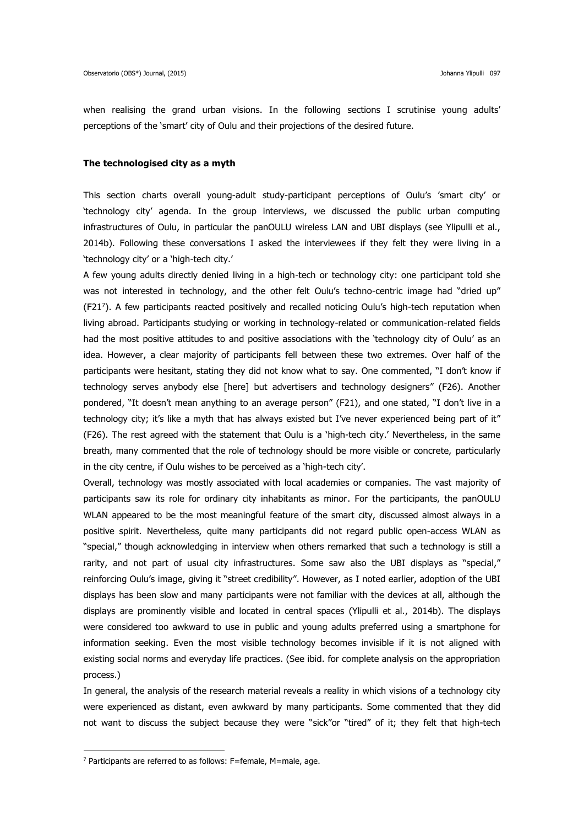when realising the grand urban visions. In the following sections I scrutinise young adults' perceptions of the 'smart' city of Oulu and their projections of the desired future.

#### **The technologised city as a myth**

This section charts overall young-adult study-participant perceptions of Oulu's 'smart city' or 'technology city' agenda. In the group interviews, we discussed the public urban computing infrastructures of Oulu, in particular the panOULU wireless LAN and UBI displays (see Ylipulli et al., 2014b). Following these conversations I asked the interviewees if they felt they were living in a 'technology city' or a 'high-tech city.'

A few young adults directly denied living in a high-tech or technology city: one participant told she was not interested in technology, and the other felt Oulu's techno-centric image had "dried up" (F21<sup>7</sup> ). A few participants reacted positively and recalled noticing Oulu's high-tech reputation when living abroad. Participants studying or working in technology-related or communication-related fields had the most positive attitudes to and positive associations with the 'technology city of Oulu' as an idea. However, a clear majority of participants fell between these two extremes. Over half of the participants were hesitant, stating they did not know what to say. One commented, "I don't know if technology serves anybody else [here] but advertisers and technology designers" (F26). Another pondered, "It doesn't mean anything to an average person" (F21), and one stated, "I don't live in a technology city; it's like a myth that has always existed but I've never experienced being part of it" (F26). The rest agreed with the statement that Oulu is a 'high-tech city.' Nevertheless, in the same breath, many commented that the role of technology should be more visible or concrete, particularly in the city centre, if Oulu wishes to be perceived as a 'high-tech city'.

Overall, technology was mostly associated with local academies or companies. The vast majority of participants saw its role for ordinary city inhabitants as minor. For the participants, the panOULU WLAN appeared to be the most meaningful feature of the smart city, discussed almost always in a positive spirit. Nevertheless, quite many participants did not regard public open-access WLAN as "special," though acknowledging in interview when others remarked that such a technology is still a rarity, and not part of usual city infrastructures. Some saw also the UBI displays as "special," reinforcing Oulu's image, giving it "street credibility". However, as I noted earlier, adoption of the UBI displays has been slow and many participants were not familiar with the devices at all, although the displays are prominently visible and located in central spaces (Ylipulli et al., 2014b). The displays were considered too awkward to use in public and young adults preferred using a smartphone for information seeking. Even the most visible technology becomes invisible if it is not aligned with existing social norms and everyday life practices. (See ibid. for complete analysis on the appropriation process.)

In general, the analysis of the research material reveals a reality in which visions of a technology city were experienced as distant, even awkward by many participants. Some commented that they did not want to discuss the subject because they were "sick"or "tired" of it; they felt that high-tech

**.** 

<sup>7</sup> Participants are referred to as follows: F=female, M=male, age.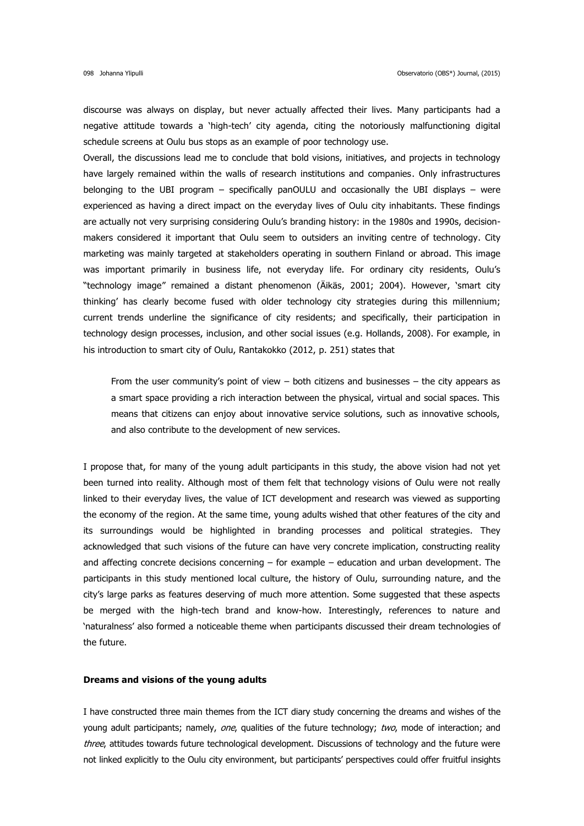discourse was always on display, but never actually affected their lives. Many participants had a negative attitude towards a 'high-tech' city agenda, citing the notoriously malfunctioning digital schedule screens at Oulu bus stops as an example of poor technology use.

Overall, the discussions lead me to conclude that bold visions, initiatives, and projects in technology have largely remained within the walls of research institutions and companies. Only infrastructures belonging to the UBI program – specifically panOULU and occasionally the UBI displays – were experienced as having a direct impact on the everyday lives of Oulu city inhabitants. These findings are actually not very surprising considering Oulu's branding history: in the 1980s and 1990s, decisionmakers considered it important that Oulu seem to outsiders an inviting centre of technology. City marketing was mainly targeted at stakeholders operating in southern Finland or abroad. This image was important primarily in business life, not everyday life. For ordinary city residents, Oulu's "technology image" remained a distant phenomenon (Äikäs, 2001; 2004). However, 'smart city thinking' has clearly become fused with older technology city strategies during this millennium; current trends underline the significance of city residents; and specifically, their participation in technology design processes, inclusion, and other social issues (e.g. Hollands, 2008). For example, in his introduction to smart city of Oulu, Rantakokko (2012, p. 251) states that

From the user community's point of view  $-$  both citizens and businesses  $-$  the city appears as a smart space providing a rich interaction between the physical, virtual and social spaces. This means that citizens can enjoy about innovative service solutions, such as innovative schools, and also contribute to the development of new services.

I propose that, for many of the young adult participants in this study, the above vision had not yet been turned into reality. Although most of them felt that technology visions of Oulu were not really linked to their everyday lives, the value of ICT development and research was viewed as supporting the economy of the region. At the same time, young adults wished that other features of the city and its surroundings would be highlighted in branding processes and political strategies. They acknowledged that such visions of the future can have very concrete implication, constructing reality and affecting concrete decisions concerning – for example – education and urban development. The participants in this study mentioned local culture, the history of Oulu, surrounding nature, and the city's large parks as features deserving of much more attention. Some suggested that these aspects be merged with the high-tech brand and know-how. Interestingly, references to nature and 'naturalness' also formed a noticeable theme when participants discussed their dream technologies of the future.

### **Dreams and visions of the young adults**

I have constructed three main themes from the ICT diary study concerning the dreams and wishes of the young adult participants; namely, one, qualities of the future technology; two, mode of interaction; and three, attitudes towards future technological development. Discussions of technology and the future were not linked explicitly to the Oulu city environment, but participants' perspectives could offer fruitful insights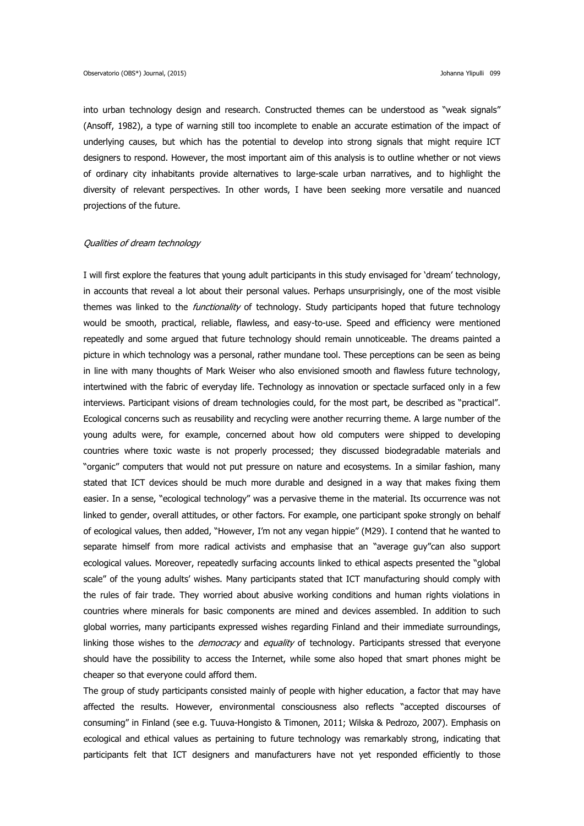into urban technology design and research. Constructed themes can be understood as "weak signals" (Ansoff, 1982), a type of warning still too incomplete to enable an accurate estimation of the impact of underlying causes, but which has the potential to develop into strong signals that might require ICT designers to respond. However, the most important aim of this analysis is to outline whether or not views of ordinary city inhabitants provide alternatives to large-scale urban narratives, and to highlight the diversity of relevant perspectives. In other words, I have been seeking more versatile and nuanced projections of the future.

## Qualities of dream technology

I will first explore the features that young adult participants in this study envisaged for 'dream' technology, in accounts that reveal a lot about their personal values. Perhaps unsurprisingly, one of the most visible themes was linked to the *functionality* of technology. Study participants hoped that future technology would be smooth, practical, reliable, flawless, and easy-to-use. Speed and efficiency were mentioned repeatedly and some argued that future technology should remain unnoticeable. The dreams painted a picture in which technology was a personal, rather mundane tool. These perceptions can be seen as being in line with many thoughts of Mark Weiser who also envisioned smooth and flawless future technology, intertwined with the fabric of everyday life. Technology as innovation or spectacle surfaced only in a few interviews. Participant visions of dream technologies could, for the most part, be described as "practical". Ecological concerns such as reusability and recycling were another recurring theme. A large number of the young adults were, for example, concerned about how old computers were shipped to developing countries where toxic waste is not properly processed; they discussed biodegradable materials and "organic" computers that would not put pressure on nature and ecosystems. In a similar fashion, many stated that ICT devices should be much more durable and designed in a way that makes fixing them easier. In a sense, "ecological technology" was a pervasive theme in the material. Its occurrence was not linked to gender, overall attitudes, or other factors. For example, one participant spoke strongly on behalf of ecological values, then added, "However, I'm not any vegan hippie" (M29). I contend that he wanted to separate himself from more radical activists and emphasise that an "average guy"can also support ecological values. Moreover, repeatedly surfacing accounts linked to ethical aspects presented the "global scale" of the young adults' wishes. Many participants stated that ICT manufacturing should comply with the rules of fair trade. They worried about abusive working conditions and human rights violations in countries where minerals for basic components are mined and devices assembled. In addition to such global worries, many participants expressed wishes regarding Finland and their immediate surroundings, linking those wishes to the *democracy* and equality of technology. Participants stressed that everyone should have the possibility to access the Internet, while some also hoped that smart phones might be cheaper so that everyone could afford them.

The group of study participants consisted mainly of people with higher education, a factor that may have affected the results. However, environmental consciousness also reflects "accepted discourses of consuming" in Finland (see e.g. Tuuva-Hongisto & Timonen, 2011; Wilska & Pedrozo, 2007). Emphasis on ecological and ethical values as pertaining to future technology was remarkably strong, indicating that participants felt that ICT designers and manufacturers have not yet responded efficiently to those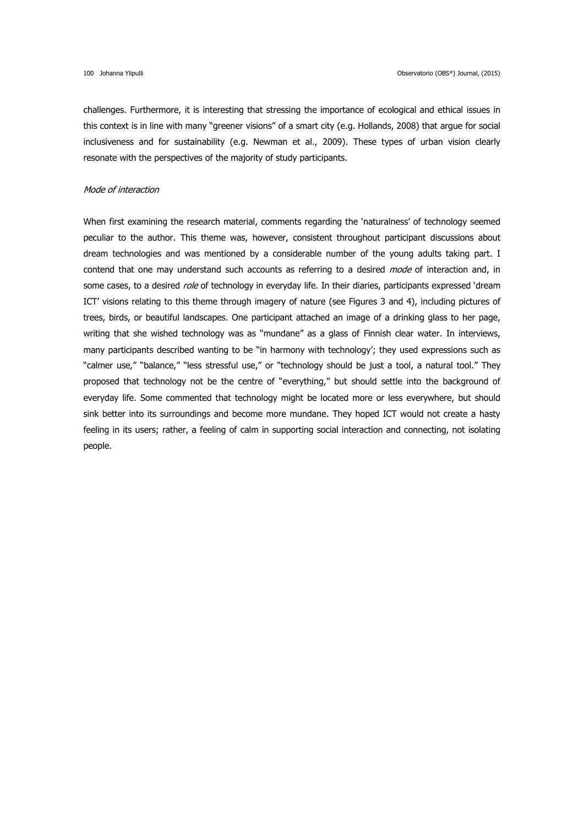challenges. Furthermore, it is interesting that stressing the importance of ecological and ethical issues in this context is in line with many "greener visions" of a smart city (e.g. Hollands, 2008) that argue for social inclusiveness and for sustainability (e.g. Newman et al., 2009). These types of urban vision clearly resonate with the perspectives of the majority of study participants.

### Mode of interaction

When first examining the research material, comments regarding the 'naturalness' of technology seemed peculiar to the author. This theme was, however, consistent throughout participant discussions about dream technologies and was mentioned by a considerable number of the young adults taking part. I contend that one may understand such accounts as referring to a desired *mode* of interaction and, in some cases, to a desired role of technology in everyday life. In their diaries, participants expressed 'dream ICT' visions relating to this theme through imagery of nature (see Figures 3 and 4), including pictures of trees, birds, or beautiful landscapes. One participant attached an image of a drinking glass to her page, writing that she wished technology was as "mundane" as a glass of Finnish clear water. In interviews, many participants described wanting to be "in harmony with technology'; they used expressions such as "calmer use," "balance," "less stressful use," or "technology should be just a tool, a natural tool." They proposed that technology not be the centre of "everything," but should settle into the background of everyday life. Some commented that technology might be located more or less everywhere, but should sink better into its surroundings and become more mundane. They hoped ICT would not create a hasty feeling in its users; rather, a feeling of calm in supporting social interaction and connecting, not isolating people.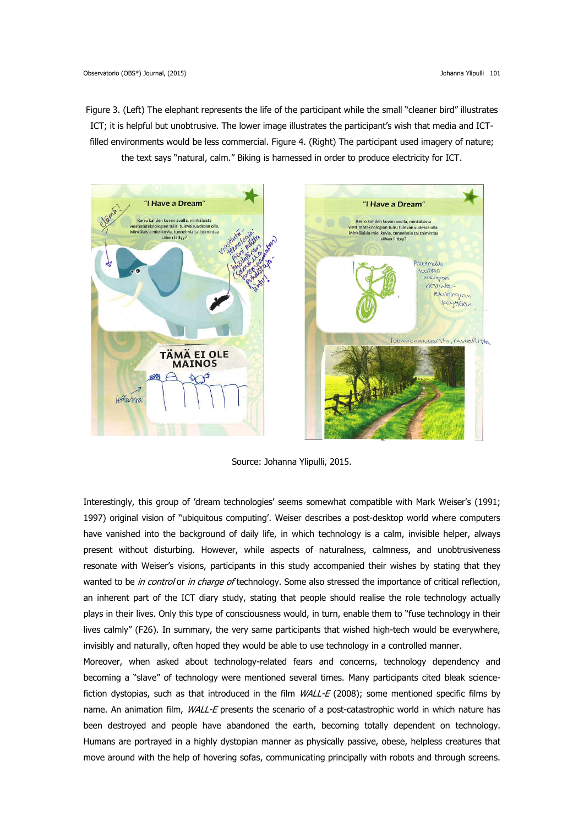Figure 3. (Left) The elephant represents the life of the participant while the small "cleaner bird" illustrates ICT; it is helpful but unobtrusive. The lower image illustrates the participant's wish that media and ICTfilled environments would be less commercial. Figure 4. (Right) The participant used imagery of nature; the text says "natural, calm." Biking is harnessed in order to produce electricity for ICT.



Source: Johanna Ylipulli, 2015.

Interestingly, this group of 'dream technologies' seems somewhat compatible with Mark Weiser's (1991; 1997) original vision of "ubiquitous computing'. Weiser describes a post-desktop world where computers have vanished into the background of daily life, in which technology is a calm, invisible helper, always present without disturbing. However, while aspects of naturalness, calmness, and unobtrusiveness resonate with Weiser's visions, participants in this study accompanied their wishes by stating that they wanted to be in control or in charge of technology. Some also stressed the importance of critical reflection, an inherent part of the ICT diary study, stating that people should realise the role technology actually plays in their lives. Only this type of consciousness would, in turn, enable them to "fuse technology in their lives calmly" (F26). In summary, the very same participants that wished high-tech would be everywhere, invisibly and naturally, often hoped they would be able to use technology in a controlled manner.

Moreover, when asked about technology-related fears and concerns, technology dependency and becoming a "slave" of technology were mentioned several times. Many participants cited bleak sciencefiction dystopias, such as that introduced in the film  $WALL-E$  (2008); some mentioned specific films by name. An animation film, WALL-E presents the scenario of a post-catastrophic world in which nature has been destroyed and people have abandoned the earth, becoming totally dependent on technology. Humans are portrayed in a highly dystopian manner as physically passive, obese, helpless creatures that move around with the help of hovering sofas, communicating principally with robots and through screens.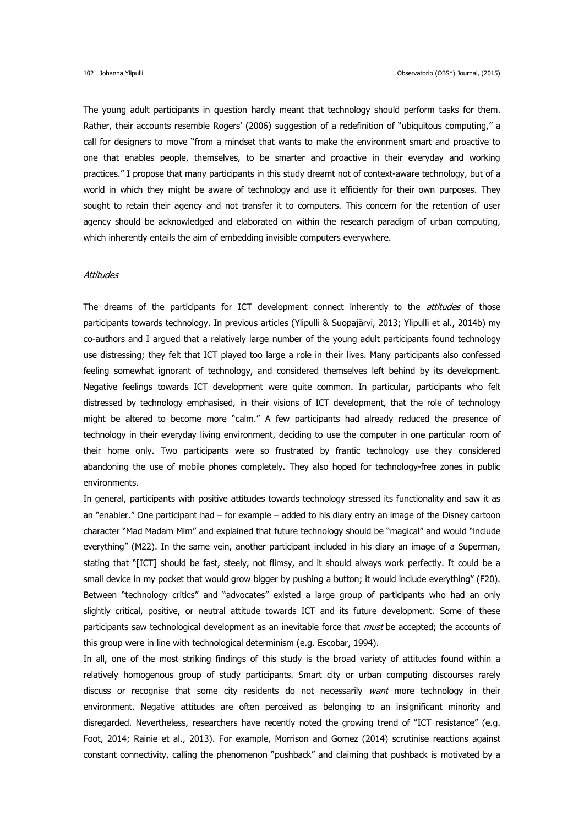The young adult participants in question hardly meant that technology should perform tasks for them. Rather, their accounts resemble Rogers' (2006) suggestion of a redefinition of "ubiquitous computing," a call for designers to move "from a mindset that wants to make the environment smart and proactive to one that enables people, themselves, to be smarter and proactive in their everyday and working practices." I propose that many participants in this study dreamt not of context-aware technology, but of a world in which they might be aware of technology and use it efficiently for their own purposes. They sought to retain their agency and not transfer it to computers. This concern for the retention of user agency should be acknowledged and elaborated on within the research paradigm of urban computing, which inherently entails the aim of embedding invisible computers everywhere.

#### **Attitudes**

The dreams of the participants for ICT development connect inherently to the *attitudes* of those participants towards technology. In previous articles (Ylipulli & Suopajärvi, 2013; Ylipulli et al., 2014b) my co-authors and I argued that a relatively large number of the young adult participants found technology use distressing; they felt that ICT played too large a role in their lives. Many participants also confessed feeling somewhat ignorant of technology, and considered themselves left behind by its development. Negative feelings towards ICT development were quite common. In particular, participants who felt distressed by technology emphasised, in their visions of ICT development, that the role of technology might be altered to become more "calm." A few participants had already reduced the presence of technology in their everyday living environment, deciding to use the computer in one particular room of their home only. Two participants were so frustrated by frantic technology use they considered abandoning the use of mobile phones completely. They also hoped for technology-free zones in public environments.

In general, participants with positive attitudes towards technology stressed its functionality and saw it as an "enabler." One participant had – for example – added to his diary entry an image of the Disney cartoon character "Mad Madam Mim" and explained that future technology should be "magical" and would "include everything" (M22). In the same vein, another participant included in his diary an image of a Superman, stating that "[ICT] should be fast, steely, not flimsy, and it should always work perfectly. It could be a small device in my pocket that would grow bigger by pushing a button; it would include everything" (F20). Between "technology critics" and "advocates" existed a large group of participants who had an only slightly critical, positive, or neutral attitude towards ICT and its future development. Some of these participants saw technological development as an inevitable force that *must* be accepted; the accounts of this group were in line with technological determinism (e.g. Escobar, 1994).

In all, one of the most striking findings of this study is the broad variety of attitudes found within a relatively homogenous group of study participants. Smart city or urban computing discourses rarely discuss or recognise that some city residents do not necessarily want more technology in their environment. Negative attitudes are often perceived as belonging to an insignificant minority and disregarded. Nevertheless, researchers have recently noted the growing trend of "ICT resistance" (e.g. Foot, 2014; Rainie et al., 2013). For example, Morrison and Gomez (2014) scrutinise reactions against constant connectivity, calling the phenomenon "pushback" and claiming that pushback is motivated by a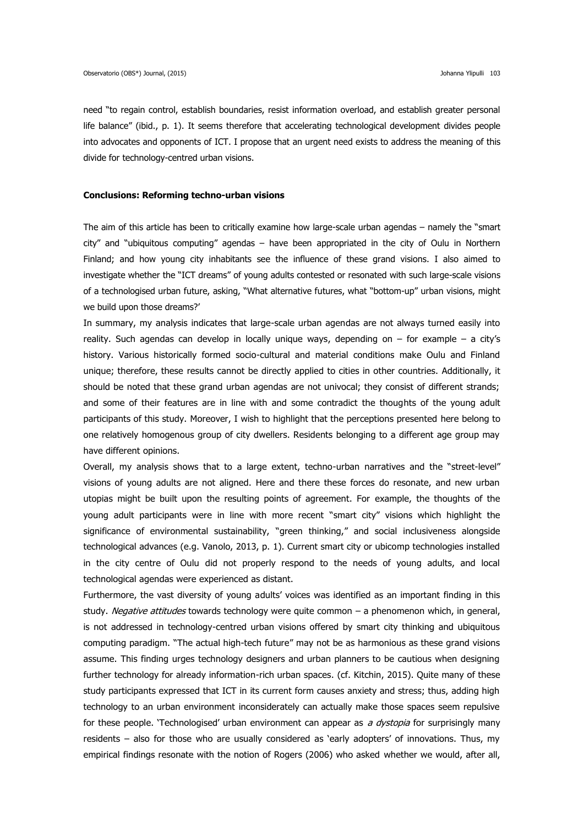need "to regain control, establish boundaries, resist information overload, and establish greater personal life balance" (ibid., p. 1). It seems therefore that accelerating technological development divides people into advocates and opponents of ICT. I propose that an urgent need exists to address the meaning of this divide for technology-centred urban visions.

### **Conclusions: Reforming techno-urban visions**

The aim of this article has been to critically examine how large-scale urban agendas – namely the "smart city" and "ubiquitous computing" agendas – have been appropriated in the city of Oulu in Northern Finland; and how young city inhabitants see the influence of these grand visions. I also aimed to investigate whether the "ICT dreams" of young adults contested or resonated with such large-scale visions of a technologised urban future, asking, "What alternative futures, what "bottom-up" urban visions, might we build upon those dreams?'

In summary, my analysis indicates that large-scale urban agendas are not always turned easily into reality. Such agendas can develop in locally unique ways, depending on – for example – a city's history. Various historically formed socio-cultural and material conditions make Oulu and Finland unique; therefore, these results cannot be directly applied to cities in other countries. Additionally, it should be noted that these grand urban agendas are not univocal; they consist of different strands; and some of their features are in line with and some contradict the thoughts of the young adult participants of this study. Moreover, I wish to highlight that the perceptions presented here belong to one relatively homogenous group of city dwellers. Residents belonging to a different age group may have different opinions.

Overall, my analysis shows that to a large extent, techno-urban narratives and the "street-level" visions of young adults are not aligned. Here and there these forces do resonate, and new urban utopias might be built upon the resulting points of agreement. For example, the thoughts of the young adult participants were in line with more recent "smart city" visions which highlight the significance of environmental sustainability, "green thinking," and social inclusiveness alongside technological advances (e.g. Vanolo, 2013, p. 1). Current smart city or ubicomp technologies installed in the city centre of Oulu did not properly respond to the needs of young adults, and local technological agendas were experienced as distant.

Furthermore, the vast diversity of young adults' voices was identified as an important finding in this study. Negative attitudes towards technology were quite common – a phenomenon which, in general, is not addressed in technology-centred urban visions offered by smart city thinking and ubiquitous computing paradigm. "The actual high-tech future" may not be as harmonious as these grand visions assume. This finding urges technology designers and urban planners to be cautious when designing further technology for already information-rich urban spaces. (cf. Kitchin, 2015). Quite many of these study participants expressed that ICT in its current form causes anxiety and stress; thus, adding high technology to an urban environment inconsiderately can actually make those spaces seem repulsive for these people. 'Technologised' urban environment can appear as a dystopia for surprisingly many residents – also for those who are usually considered as 'early adopters' of innovations. Thus, my empirical findings resonate with the notion of Rogers (2006) who asked whether we would, after all,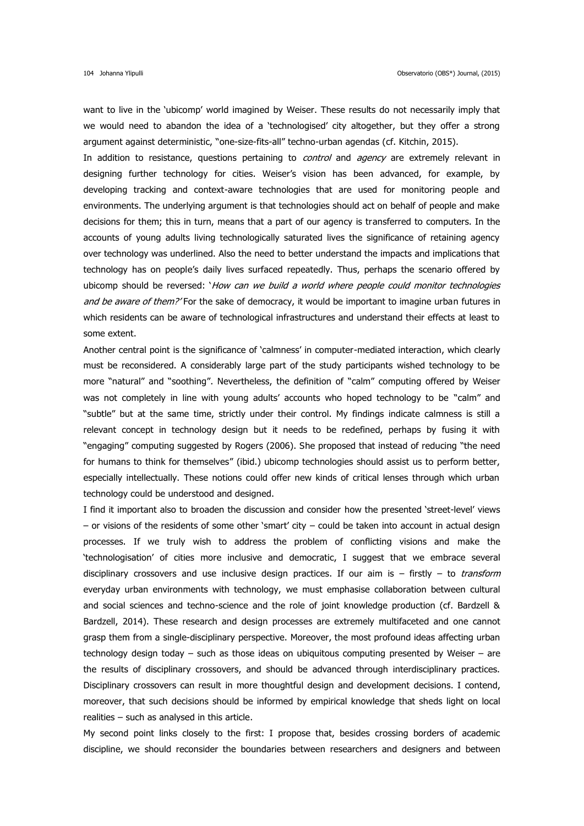want to live in the 'ubicomp' world imagined by Weiser. These results do not necessarily imply that we would need to abandon the idea of a 'technologised' city altogether, but they offer a strong argument against deterministic, "one-size-fits-all" techno-urban agendas (cf. Kitchin, 2015).

In addition to resistance, questions pertaining to *control* and *agency* are extremely relevant in designing further technology for cities. Weiser's vision has been advanced, for example, by developing tracking and context-aware technologies that are used for monitoring people and environments. The underlying argument is that technologies should act on behalf of people and make decisions for them; this in turn, means that a part of our agency is transferred to computers. In the accounts of young adults living technologically saturated lives the significance of retaining agency over technology was underlined. Also the need to better understand the impacts and implications that technology has on people's daily lives surfaced repeatedly. Thus, perhaps the scenario offered by ubicomp should be reversed: *'How can we build a world where people could monitor technologies* and be aware of them?' For the sake of democracy, it would be important to imagine urban futures in which residents can be aware of technological infrastructures and understand their effects at least to some extent.

Another central point is the significance of 'calmness' in computer-mediated interaction, which clearly must be reconsidered. A considerably large part of the study participants wished technology to be more "natural" and "soothing". Nevertheless, the definition of "calm" computing offered by Weiser was not completely in line with young adults' accounts who hoped technology to be "calm" and "subtle" but at the same time, strictly under their control. My findings indicate calmness is still a relevant concept in technology design but it needs to be redefined, perhaps by fusing it with "engaging" computing suggested by Rogers (2006). She proposed that instead of reducing "the need for humans to think for themselves" (ibid.) ubicomp technologies should assist us to perform better, especially intellectually. These notions could offer new kinds of critical lenses through which urban technology could be understood and designed.

I find it important also to broaden the discussion and consider how the presented 'street-level' views – or visions of the residents of some other 'smart' city – could be taken into account in actual design processes. If we truly wish to address the problem of conflicting visions and make the 'technologisation' of cities more inclusive and democratic, I suggest that we embrace several disciplinary crossovers and use inclusive design practices. If our aim is  $-$  firstly  $-$  to *transform* everyday urban environments with technology, we must emphasise collaboration between cultural and social sciences and techno-science and the role of joint knowledge production (cf. Bardzell & Bardzell, 2014). These research and design processes are extremely multifaceted and one cannot grasp them from a single-disciplinary perspective. Moreover, the most profound ideas affecting urban technology design today – such as those ideas on ubiquitous computing presented by Weiser – are the results of disciplinary crossovers, and should be advanced through interdisciplinary practices. Disciplinary crossovers can result in more thoughtful design and development decisions. I contend, moreover, that such decisions should be informed by empirical knowledge that sheds light on local realities – such as analysed in this article.

My second point links closely to the first: I propose that, besides crossing borders of academic discipline, we should reconsider the boundaries between researchers and designers and between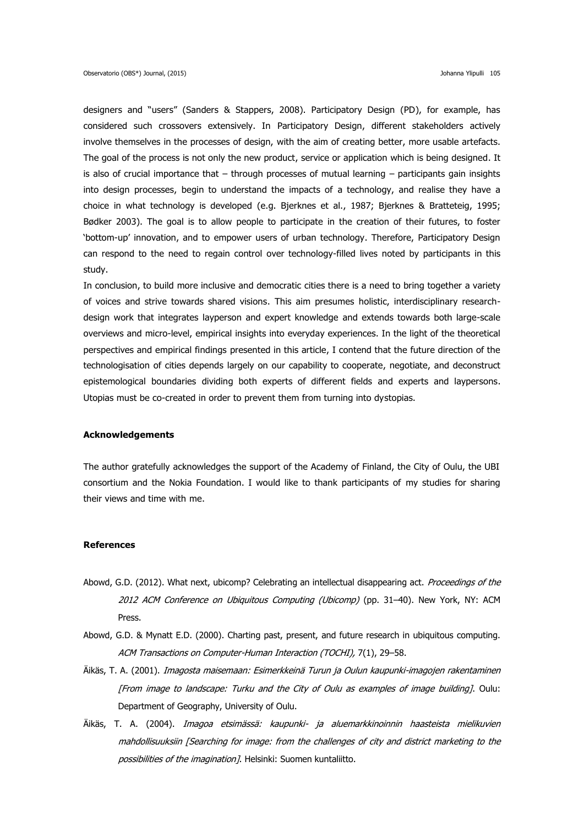designers and "users" (Sanders & Stappers, 2008). Participatory Design (PD), for example, has considered such crossovers extensively. In Participatory Design, different stakeholders actively involve themselves in the processes of design, with the aim of creating better, more usable artefacts. The goal of the process is not only the new product, service or application which is being designed. It is also of crucial importance that – through processes of mutual learning – participants gain insights into design processes, begin to understand the impacts of a technology, and realise they have a choice in what technology is developed (e.g. Bjerknes et al., 1987; Bjerknes & Bratteteig, 1995; Bødker 2003). The goal is to allow people to participate in the creation of their futures, to foster 'bottom-up' innovation, and to empower users of urban technology. Therefore, Participatory Design can respond to the need to regain control over technology-filled lives noted by participants in this study.

In conclusion, to build more inclusive and democratic cities there is a need to bring together a variety of voices and strive towards shared visions. This aim presumes holistic, interdisciplinary researchdesign work that integrates layperson and expert knowledge and extends towards both large-scale overviews and micro-level, empirical insights into everyday experiences. In the light of the theoretical perspectives and empirical findings presented in this article, I contend that the future direction of the technologisation of cities depends largely on our capability to cooperate, negotiate, and deconstruct epistemological boundaries dividing both experts of different fields and experts and laypersons. Utopias must be co-created in order to prevent them from turning into dystopias.

### **Acknowledgements**

The author gratefully acknowledges the support of the Academy of Finland, the City of Oulu, the UBI consortium and the Nokia Foundation. I would like to thank participants of my studies for sharing their views and time with me.

#### **References**

- Abowd, G.D. (2012). What next, ubicomp? Celebrating an intellectual disappearing act. Proceedings of the 2012 ACM Conference on Ubiquitous Computing (Ubicomp) (pp. 31–40). New York, NY: ACM Press.
- Abowd, G.D. & Mynatt E.D. (2000). Charting past, present, and future research in ubiquitous computing. ACM Transactions on Computer-Human Interaction (TOCHI), 7(1), 29–58.
- Äikäs, T. A. (2001). *Imagosta maisemaan: Esimerkkeinä Turun ja Oulun kaupunki-imagojen rakentaminen* [From image to landscape: Turku and the City of Oulu as examples of image building]. Oulu: Department of Geography, University of Oulu.
- Äikäs, T. A. (2004). Imagoa etsimässä: kaupunki- ja aluemarkkinoinnin haasteista mielikuvien mahdollisuuksiin [Searching for image: from the challenges of city and district marketing to the possibilities of the imagination 7. Helsinki: Suomen kuntaliitto.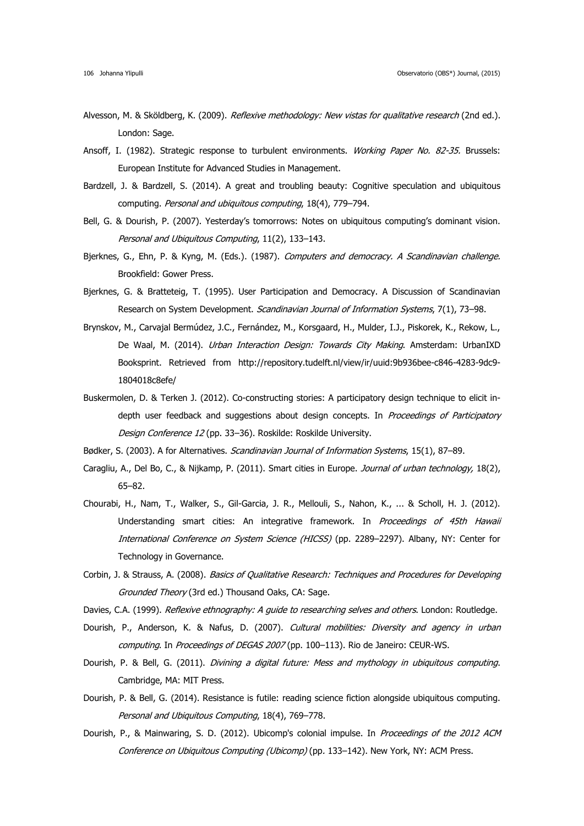- Alvesson, M. & Sköldberg, K. (2009). Reflexive methodology: New vistas for qualitative research (2nd ed.). London: Sage.
- Ansoff, I. (1982). Strategic response to turbulent environments. Working Paper No. 82-35. Brussels: European Institute for Advanced Studies in Management.
- Bardzell, J. & Bardzell, S. (2014). A great and troubling beauty: Cognitive speculation and ubiquitous computing. Personal and ubiquitous computing, 18(4), 779–794.
- Bell, G. & Dourish, P. (2007). Yesterday's tomorrows: Notes on ubiquitous computing's dominant vision. Personal and Ubiquitous Computing, 11(2), 133–143.
- Bjerknes, G., Ehn, P. & Kyng, M. (Eds.). (1987). Computers and democracy. A Scandinavian challenge. Brookfield: Gower Press.
- Bjerknes, G. & Bratteteig, T. (1995). User Participation and Democracy. A Discussion of Scandinavian Research on System Development. Scandinavian Journal of Information Systems, 7(1), 73-98.
- Brynskov, M., Carvajal Bermúdez, J.C., Fernández, M., Korsgaard, H., Mulder, I.J., Piskorek, K., Rekow, L., De Waal, M. (2014). *Urban Interaction Design: Towards City Making*. Amsterdam: UrbanIXD Booksprint. Retrieved from [http://repository.tudelft.nl/view/ir/uuid:9b936bee-c846-4283-9dc9-](http://repository.tudelft.nl/view/ir/uuid:9b936bee-c846-4283-9dc9-1804018c8efe/) [1804018c8efe/](http://repository.tudelft.nl/view/ir/uuid:9b936bee-c846-4283-9dc9-1804018c8efe/)
- Buskermolen, D. & Terken J. (2012). Co-constructing stories: A participatory design technique to elicit indepth user feedback and suggestions about design concepts. In Proceedings of Participatory Design Conference 12 (pp. 33-36). Roskilde: Roskilde University.
- Bødker, S. (2003). A for Alternatives. Scandinavian Journal of Information Systems, 15(1), 87-89.
- Caragliu, A., Del Bo, C., & Nijkamp, P. (2011). Smart cities in Europe. *Journal of urban technology*, 18(2), 65–82.
- Chourabi, H., Nam, T., Walker, S., Gil-Garcia, J. R., Mellouli, S., Nahon, K., ... & Scholl, H. J. (2012). Understanding smart cities: An integrative framework. In Proceedings of 45th Hawaii International Conference on System Science (HICSS) (pp. 2289-2297). Albany, NY: Center for Technology in Governance.
- Corbin, J. & Strauss, A. (2008). Basics of Qualitative Research: Techniques and Procedures for Developing Grounded Theory (3rd ed.) Thousand Oaks, CA: Sage.
- Davies, C.A. (1999). Reflexive ethnography: A quide to researching selves and others. London: Routledge.
- Dourish, P., Anderson, K. & Nafus, D. (2007). Cultural mobilities: Diversity and agency in urban computing. In Proceedings of DEGAS 2007 (pp. 100-113). Rio de Janeiro: CEUR-WS.
- Dourish, P. & Bell, G. (2011). *Divining a digital future: Mess and mythology in ubiquitous computing*. Cambridge, MA: MIT Press.
- Dourish, P. & Bell, G. (2014). Resistance is futile: reading science fiction alongside ubiquitous computing. Personal and Ubiquitous Computing, 18(4), 769–778.
- Dourish, P., & Mainwaring, S. D. (2012). Ubicomp's colonial impulse. In Proceedings of the 2012 ACM Conference on Ubiquitous Computing (Ubicomp) (pp. 133–142). New York, NY: ACM Press.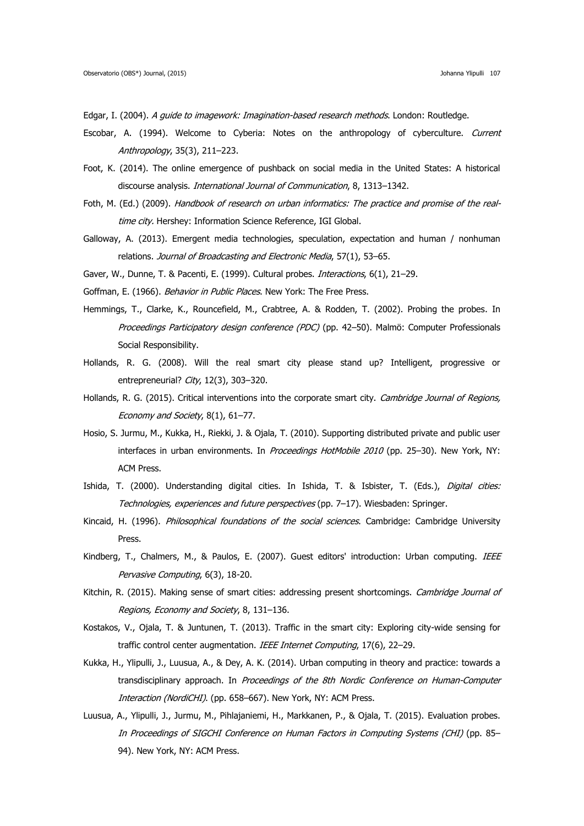Edgar, I. (2004). A quide to imagework: Imagination-based research methods. London: Routledge.

- Escobar, A. (1994). Welcome to Cyberia: Notes on the anthropology of cyberculture. Current Anthropology, 35(3), 211–223.
- Foot, K. (2014). The online emergence of pushback on social media in the United States: A historical discourse analysis. International Journal of Communication, 8, 1313-1342.
- Foth, M. (Ed.) (2009). Handbook of research on urban informatics: The practice and promise of the realtime city. Hershey: Information Science Reference, IGI Global.
- Galloway, A. (2013). Emergent media technologies, speculation, expectation and human / nonhuman relations. Journal of Broadcasting and Electronic Media, 57(1), 53-65.
- Gaver, W., Dunne, T. & Pacenti, E. (1999). Cultural probes. *Interactions*, 6(1), 21-29.
- Goffman, E. (1966). Behavior in Public Places. New York: The Free Press.
- Hemmings, T., Clarke, K., Rouncefield, M., Crabtree, A. & Rodden, T. (2002). Probing the probes. In Proceedings Participatory design conference (PDC) (pp. 42-50). Malmö: Computer Professionals Social Responsibility.
- Hollands, R. G. (2008). Will the real smart city please stand up? Intelligent, progressive or entrepreneurial? City, 12(3), 303-320.
- Hollands, R. G. (2015). Critical interventions into the corporate smart city. Cambridge Journal of Regions, Economy and Society, 8(1), 61–77.
- Hosio, S. Jurmu, M., Kukka, H., Riekki, J. & Ojala, T. (2010). Supporting distributed private and public user interfaces in urban environments. In Proceedings HotMobile 2010 (pp. 25-30). New York, NY: ACM Press.
- Ishida, T. (2000). Understanding digital cities. In Ishida, T. & Isbister, T. (Eds.), Digital cities: Technologies, experiences and future perspectives (pp. 7–17). Wiesbaden: Springer.
- Kincaid, H. (1996). Philosophical foundations of the social sciences. Cambridge: Cambridge University Press.
- Kindberg, T., Chalmers, M., & Paulos, E. (2007). Guest editors' introduction: Urban computing. IEEE Pervasive Computing, 6(3), 18-20.
- Kitchin, R. (2015). Making sense of smart cities: addressing present shortcomings. Cambridge Journal of Regions, Economy and Society, 8, 131–136.
- Kostakos, V., Ojala, T. & Juntunen, T. (2013). Traffic in the smart city: Exploring city-wide sensing for traffic control center augmentation. IEEE Internet Computing, 17(6), 22-29.
- Kukka, H., Ylipulli, J., Luusua, A., & Dey, A. K. (2014). Urban computing in theory and practice: towards a transdisciplinary approach. In Proceedings of the 8th Nordic Conference on Human-Computer Interaction (NordiCHI). (pp. 658-667). New York, NY: ACM Press.
- Luusua, A., Ylipulli, J., Jurmu, M., Pihlajaniemi, H., Markkanen, P., & Ojala, T. (2015). Evaluation probes. In Proceedings of SIGCHI Conference on Human Factors in Computing Systems (CHI) (pp. 85– 94). New York, NY: ACM Press.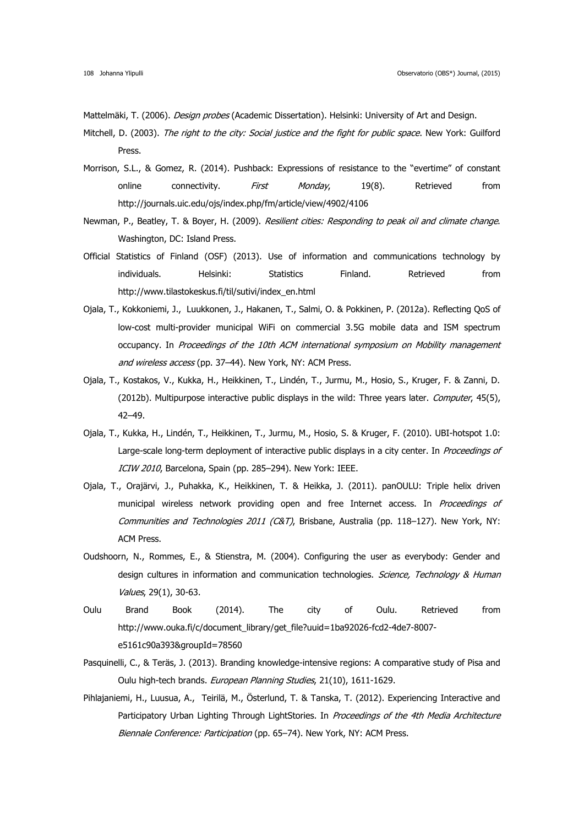Mattelmäki, T. (2006). *Design probes* (Academic Dissertation). Helsinki: University of Art and Design.

- Mitchell, D. (2003). The right to the city: Social justice and the fight for public space. New York: Guilford Press.
- Morrison, S.L., & Gomez, R. (2014). Pushback: Expressions of resistance to the "evertime" of constant online connectivity. First Monday, 19(8). Retrieved from <http://journals.uic.edu/ojs/index.php/fm/article/view/4902/4106>
- Newman, P., Beatley, T. & Boyer, H. (2009). Resilient cities: Responding to peak oil and climate change. Washington, DC: Island Press.
- Official Statistics of Finland (OSF) (2013). Use of information and communications technology by individuals. Helsinki: Statistics Finland. Retrieved from http://www.tilastokeskus.fi/til/sutivi/index\_en.html
- Ojala, T., Kokkoniemi, J., Luukkonen, J., Hakanen, T., Salmi, O. & Pokkinen, P. (2012a). Reflecting QoS of low-cost multi-provider municipal WiFi on commercial 3.5G mobile data and ISM spectrum occupancy. In Proceedings of the 10th ACM international symposium on Mobility management and wireless access (pp. 37–44). New York, NY: ACM Press.
- Ojala, T., Kostakos, V., Kukka, H., Heikkinen, T., Lindén, T., Jurmu, M., Hosio, S., Kruger, F. & Zanni, D. (2012b). Multipurpose interactive public displays in the wild: Three years later. Computer, 45(5), 42–49.
- Ojala, T., Kukka, H., Lindén, T., Heikkinen, T., Jurmu, M., Hosio, S. & Kruger, F. (2010). UBI-hotspot 1.0: Large-scale long-term deployment of interactive public displays in a city center. In Proceedings of ICIW 2010, Barcelona, Spain (pp. 285–294). New York: IEEE.
- Ojala, T., Orajärvi, J., Puhakka, K., Heikkinen, T. & Heikka, J. (2011). panOULU: Triple helix driven municipal wireless network providing open and free Internet access. In *Proceedings of* Communities and Technologies 2011 (C&T), Brisbane, Australia (pp. 118–127). New York, NY: ACM Press.
- Oudshoorn, N., Rommes, E., & Stienstra, M. (2004). Configuring the user as everybody: Gender and design cultures in information and communication technologies. Science, Technology & Human Values, 29(1), 30-63.
- Oulu Brand Book (2014). The city of Oulu. Retrieved from [http://www.ouka.fi/c/document\\_library/get\\_file?uuid=1ba92026-fcd2-4de7-8007](http://www.ouka.fi/c/document_library/get_file?uuid=1ba92026-fcd2-4de7-8007-e5161c90a393&groupId=78560) [e5161c90a393&groupId=78560](http://www.ouka.fi/c/document_library/get_file?uuid=1ba92026-fcd2-4de7-8007-e5161c90a393&groupId=78560)
- Pasquinelli, C., & Teräs, J. (2013). Branding knowledge-intensive regions: A comparative study of Pisa and Oulu high-tech brands. European Planning Studies, 21(10), 1611-1629.
- Pihlajaniemi, H., Luusua, A., Teirilä, M., Österlund, T. & Tanska, T. (2012). Experiencing Interactive and Participatory Urban Lighting Through LightStories. In Proceedings of the 4th Media Architecture Biennale Conference: Participation (pp. 65-74). New York, NY: ACM Press.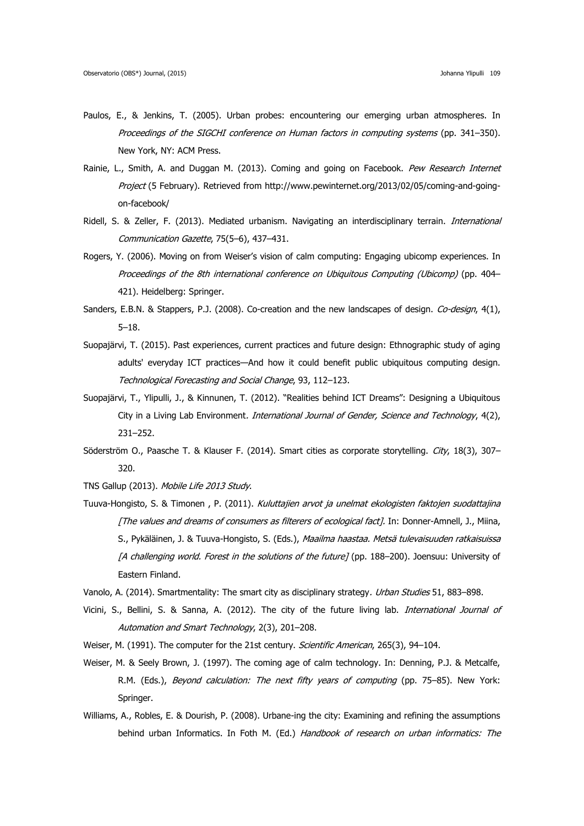- Paulos, E., & Jenkins, T. (2005). Urban probes: encountering our emerging urban atmospheres. In Proceedings of the SIGCHI conference on Human factors in computing systems (pp. 341–350). New York, NY: ACM Press.
- Rainie, L., Smith, A. and Duggan M. (2013). Coming and going on Facebook. Pew Research Internet Project (5 February). Retrieved from http://www.pewinternet.org/2013/02/05/coming-and-goingon-facebook/
- Ridell, S. & Zeller, F. (2013). Mediated urbanism. Navigating an interdisciplinary terrain. *International* Communication Gazette, 75(5–6), 437–431.
- Rogers, Y. (2006). Moving on from Weiser's vision of calm computing: Engaging ubicomp experiences. In Proceedings of the 8th international conference on Ubiquitous Computing (Ubicomp) (pp. 404– 421). Heidelberg: Springer.
- Sanders, E.B.N. & Stappers, P.J. (2008). Co-creation and the new landscapes of design. Co-design, 4(1), 5–18.
- Suopajärvi, T. (2015). Past experiences, current practices and future design: Ethnographic study of aging adults' everyday ICT practices—And how it could benefit public ubiquitous computing design. Technological Forecasting and Social Change, 93, 112–123.
- Suopajärvi, T., Ylipulli, J., & Kinnunen, T. (2012). "Realities behind ICT Dreams": Designing a Ubiquitous City in a Living Lab Environment. International Journal of Gender, Science and Technology, 4(2), 231–252.
- Söderström O., Paasche T. & Klauser F. (2014). Smart cities as corporate storytelling. City, 18(3), 307-320.
- TNS Gallup (2013). Mobile Life 2013 Study.
- Tuuva-Hongisto, S. & Timonen , P. (2011). Kuluttajien arvot ja unelmat ekologisten faktojen suodattajina [The values and dreams of consumers as filterers of ecological fact]. In: Donner-Amnell, J., Miina, S., Pykäläinen, J. & Tuuva-Hongisto, S. (Eds.), Maailma haastaa. Metsä tulevaisuuden ratkaisuissa [A challenging world. Forest in the solutions of the future] (pp. 188–200). Joensuu: University of Eastern Finland.
- Vanolo, A. (2014). Smartmentality: The smart city as disciplinary strategy. Urban Studies 51, 883-898.
- Vicini, S., Bellini, S. & Sanna, A. (2012). The city of the future living lab. *International Journal of* Automation and Smart Technology, 2(3), 201–208.
- Weiser, M. (1991). The computer for the 21st century. Scientific American, 265(3), 94-104.
- Weiser, M. & Seely Brown, J. (1997). The coming age of calm technology. In: Denning, P.J. & Metcalfe, R.M. (Eds.), Beyond calculation: The next fifty years of computing (pp. 75–85). New York: Springer.
- Williams, A., Robles, E. & Dourish, P. (2008). Urbane-ing the city: Examining and refining the assumptions behind urban Informatics. In Foth M. (Ed.) Handbook of research on urban informatics: The